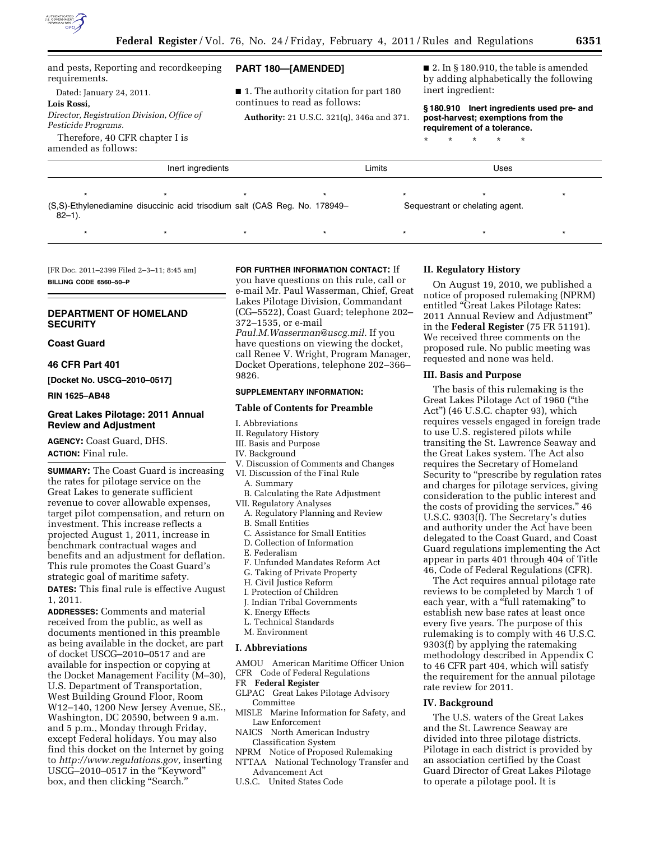

and pests, Reporting and recordkeeping requirements.

Dated: January 24, 2011.

## **Lois Rossi,**

*Director, Registration Division, Office of Pesticide Programs.*  Therefore, 40 CFR chapter I is

amended as follows:

## **PART 180—[AMENDED]**

- 1. The authority citation for part 180 continues to read as follows:
- **Authority:** 21 U.S.C. 321(q), 346a and 371.

 $\blacksquare$  2. In § 180.910, the table is amended by adding alphabetically the following inert ingredient:

**§ 180.910 Inert ingredients used pre- and post-harvest; exemptions from the requirement of a tolerance.** 

\* \* \* \* \*

**Inert ingredients Contract in the Uses** Limits **Contract in the Uses** Uses \*\*\*\*\*\*\* (S,S)-Ethylenediamine disuccinic acid trisodium salt (CAS Reg. No. 178949–  $82 - 1$ ). Sequestrant or chelating agent.

\* \* \* \* \* \* \* \* \* \* \* \* \* \* \*

[FR Doc. 2011–2399 Filed 2–3–11; 8:45 am] **BILLING CODE 6560–50–P** 

## **DEPARTMENT OF HOMELAND SECURITY**

### **Coast Guard**

### **46 CFR Part 401**

**[Docket No. USCG–2010–0517]** 

**RIN 1625–AB48** 

## **Great Lakes Pilotage: 2011 Annual Review and Adjustment**

**AGENCY:** Coast Guard, DHS. **ACTION:** Final rule.

**SUMMARY:** The Coast Guard is increasing the rates for pilotage service on the Great Lakes to generate sufficient revenue to cover allowable expenses, target pilot compensation, and return on investment. This increase reflects a projected August 1, 2011, increase in benchmark contractual wages and benefits and an adjustment for deflation. This rule promotes the Coast Guard's strategic goal of maritime safety. **DATES:** This final rule is effective August

1, 2011. **ADDRESSES:** Comments and material received from the public, as well as

documents mentioned in this preamble as being available in the docket, are part of docket USCG–2010–0517 and are available for inspection or copying at the Docket Management Facility (M–30), U.S. Department of Transportation, West Building Ground Floor, Room W12–140, 1200 New Jersey Avenue, SE., Washington, DC 20590, between 9 a.m. and 5 p.m., Monday through Friday, except Federal holidays. You may also find this docket on the Internet by going to *[http://www.regulations.gov,](http://www.regulations.gov)* inserting USCG–2010–0517 in the ''Keyword'' box, and then clicking "Search."

### **FOR FURTHER INFORMATION CONTACT:** If

you have questions on this rule, call or e-mail Mr. Paul Wasserman, Chief, Great Lakes Pilotage Division, Commandant (CG–5522), Coast Guard; telephone 202– 372–1535, or e-mail *[Paul.M.Wasserman@uscg.mil.](mailto:Paul.M.Wasserman@uscg.mil)* If you have questions on viewing the docket, call Renee V. Wright, Program Manager, Docket Operations, telephone 202–366– 9826.

### **SUPPLEMENTARY INFORMATION:**

### **Table of Contents for Preamble**

- I. Abbreviations
- II. Regulatory History
- III. Basis and Purpose
- IV. Background
- V. Discussion of Comments and Changes
- VI. Discussion of the Final Rule
	- A. Summary
- B. Calculating the Rate Adjustment
- VII. Regulatory Analyses
- A. Regulatory Planning and Review B. Small Entities
- C. Assistance for Small Entities
- D. Collection of Information
- E. Federalism
- F. Unfunded Mandates Reform Act
- G. Taking of Private Property
- H. Civil Justice Reform
- I. Protection of Children
- J. Indian Tribal Governments
- K. Energy Effects
- L. Technical Standards
- M. Environment

#### **I. Abbreviations**

- AMOU American Maritime Officer Union CFR Code of Federal Regulations
- FR **Federal Register**
- GLPAC Great Lakes Pilotage Advisory Committee
- MISLE Marine Information for Safety, and Law Enforcement
- NAICS North American Industry Classification System
- NPRM Notice of Proposed Rulemaking
- NTTAA National Technology Transfer and Advancement Act
- U.S.C. United States Code

### **II. Regulatory History**

On August 19, 2010, we published a notice of proposed rulemaking (NPRM) entitled ''Great Lakes Pilotage Rates: 2011 Annual Review and Adjustment'' in the **Federal Register** (75 FR 51191). We received three comments on the proposed rule. No public meeting was requested and none was held.

### **III. Basis and Purpose**

The basis of this rulemaking is the Great Lakes Pilotage Act of 1960 (''the Act'') (46 U.S.C. chapter 93), which requires vessels engaged in foreign trade to use U.S. registered pilots while transiting the St. Lawrence Seaway and the Great Lakes system. The Act also requires the Secretary of Homeland Security to "prescribe by regulation rates and charges for pilotage services, giving consideration to the public interest and the costs of providing the services.'' 46 U.S.C. 9303(f). The Secretary's duties and authority under the Act have been delegated to the Coast Guard, and Coast Guard regulations implementing the Act appear in parts 401 through 404 of Title 46, Code of Federal Regulations (CFR).

The Act requires annual pilotage rate reviews to be completed by March 1 of each year, with a "full ratemaking" to establish new base rates at least once every five years. The purpose of this rulemaking is to comply with 46 U.S.C. 9303(f) by applying the ratemaking methodology described in Appendix C to 46 CFR part 404, which will satisfy the requirement for the annual pilotage rate review for 2011.

### **IV. Background**

The U.S. waters of the Great Lakes and the St. Lawrence Seaway are divided into three pilotage districts. Pilotage in each district is provided by an association certified by the Coast Guard Director of Great Lakes Pilotage to operate a pilotage pool. It is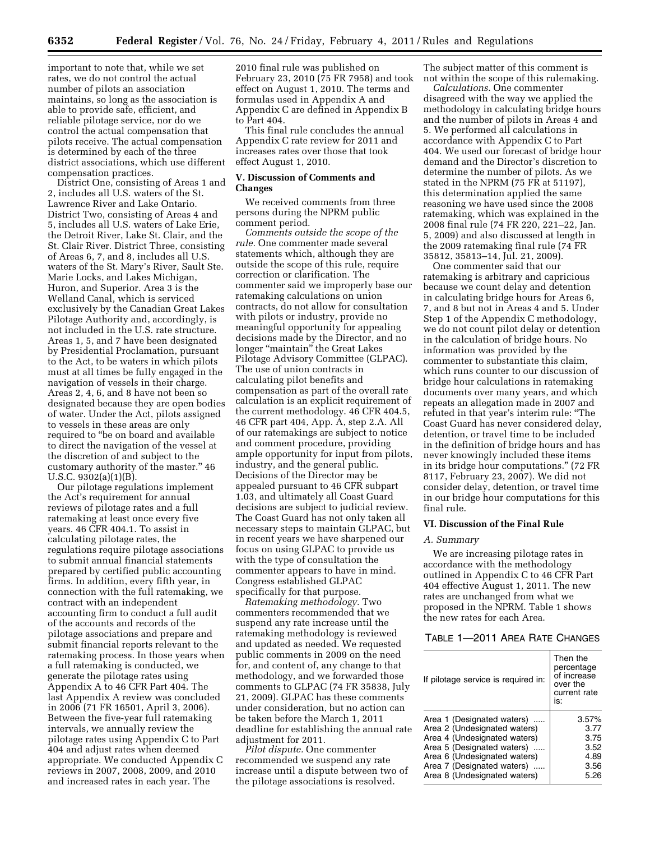important to note that, while we set rates, we do not control the actual number of pilots an association maintains, so long as the association is able to provide safe, efficient, and reliable pilotage service, nor do we control the actual compensation that pilots receive. The actual compensation is determined by each of the three district associations, which use different compensation practices.

District One, consisting of Areas 1 and 2, includes all U.S. waters of the St. Lawrence River and Lake Ontario. District Two, consisting of Areas 4 and 5, includes all U.S. waters of Lake Erie, the Detroit River, Lake St. Clair, and the St. Clair River. District Three, consisting of Areas 6, 7, and 8, includes all U.S. waters of the St. Mary's River, Sault Ste. Marie Locks, and Lakes Michigan, Huron, and Superior. Area 3 is the Welland Canal, which is serviced exclusively by the Canadian Great Lakes Pilotage Authority and, accordingly, is not included in the U.S. rate structure. Areas 1, 5, and 7 have been designated by Presidential Proclamation, pursuant to the Act, to be waters in which pilots must at all times be fully engaged in the navigation of vessels in their charge. Areas 2, 4, 6, and 8 have not been so designated because they are open bodies of water. Under the Act, pilots assigned to vessels in these areas are only required to ''be on board and available to direct the navigation of the vessel at the discretion of and subject to the customary authority of the master.'' 46 U.S.C. 9302(a)(1)(B).

Our pilotage regulations implement the Act's requirement for annual reviews of pilotage rates and a full ratemaking at least once every five years. 46 CFR 404.1. To assist in calculating pilotage rates, the regulations require pilotage associations to submit annual financial statements prepared by certified public accounting firms. In addition, every fifth year, in connection with the full ratemaking, we contract with an independent accounting firm to conduct a full audit of the accounts and records of the pilotage associations and prepare and submit financial reports relevant to the ratemaking process. In those years when a full ratemaking is conducted, we generate the pilotage rates using Appendix A to 46 CFR Part 404. The last Appendix A review was concluded in 2006 (71 FR 16501, April 3, 2006). Between the five-year full ratemaking intervals, we annually review the pilotage rates using Appendix C to Part 404 and adjust rates when deemed appropriate. We conducted Appendix C reviews in 2007, 2008, 2009, and 2010 and increased rates in each year. The

2010 final rule was published on February 23, 2010 (75 FR 7958) and took effect on August 1, 2010. The terms and formulas used in Appendix A and Appendix C are defined in Appendix B to Part 404.

This final rule concludes the annual Appendix C rate review for 2011 and increases rates over those that took effect August 1, 2010.

### **V. Discussion of Comments and Changes**

We received comments from three persons during the NPRM public comment period.

*Comments outside the scope of the rule.* One commenter made several statements which, although they are outside the scope of this rule, require correction or clarification. The commenter said we improperly base our ratemaking calculations on union contracts, do not allow for consultation with pilots or industry, provide no meaningful opportunity for appealing decisions made by the Director, and no longer "maintain" the Great Lakes Pilotage Advisory Committee (GLPAC). The use of union contracts in calculating pilot benefits and compensation as part of the overall rate calculation is an explicit requirement of the current methodology. 46 CFR 404.5, 46 CFR part 404, App. A, step 2.A. All of our ratemakings are subject to notice and comment procedure, providing ample opportunity for input from pilots, industry, and the general public. Decisions of the Director may be appealed pursuant to 46 CFR subpart 1.03, and ultimately all Coast Guard decisions are subject to judicial review. The Coast Guard has not only taken all necessary steps to maintain GLPAC, but in recent years we have sharpened our focus on using GLPAC to provide us with the type of consultation the commenter appears to have in mind. Congress established GLPAC specifically for that purpose.

*Ratemaking methodology.* Two commenters recommended that we suspend any rate increase until the ratemaking methodology is reviewed and updated as needed. We requested public comments in 2009 on the need for, and content of, any change to that methodology, and we forwarded those comments to GLPAC (74 FR 35838, July 21, 2009). GLPAC has these comments under consideration, but no action can be taken before the March 1, 2011 deadline for establishing the annual rate adjustment for 2011.

*Pilot dispute.* One commenter recommended we suspend any rate increase until a dispute between two of the pilotage associations is resolved.

The subject matter of this comment is not within the scope of this rulemaking.

*Calculations.* One commenter disagreed with the way we applied the methodology in calculating bridge hours and the number of pilots in Areas 4 and 5. We performed all calculations in accordance with Appendix C to Part 404. We used our forecast of bridge hour demand and the Director's discretion to determine the number of pilots. As we stated in the NPRM (75 FR at 51197), this determination applied the same reasoning we have used since the 2008 ratemaking, which was explained in the 2008 final rule (74 FR 220, 221–22, Jan. 5, 2009) and also discussed at length in the 2009 ratemaking final rule (74 FR 35812, 35813–14, Jul. 21, 2009).

One commenter said that our ratemaking is arbitrary and capricious because we count delay and detention in calculating bridge hours for Areas 6, 7, and 8 but not in Areas 4 and 5. Under Step 1 of the Appendix C methodology, we do not count pilot delay or detention in the calculation of bridge hours. No information was provided by the commenter to substantiate this claim, which runs counter to our discussion of bridge hour calculations in ratemaking documents over many years, and which repeats an allegation made in 2007 and refuted in that year's interim rule: ''The Coast Guard has never considered delay, detention, or travel time to be included in the definition of bridge hours and has never knowingly included these items in its bridge hour computations.'' (72 FR 8117, February 23, 2007). We did not consider delay, detention, or travel time in our bridge hour computations for this final rule.

## **VI. Discussion of the Final Rule**

### *A. Summary*

We are increasing pilotage rates in accordance with the methodology outlined in Appendix C to 46 CFR Part 404 effective August 1, 2011. The new rates are unchanged from what we proposed in the NPRM. Table 1 shows the new rates for each Area.

## TABLE 1—2011 AREA RATE CHANGES

| If pilotage service is required in: | Then the<br>percentage<br>of increase<br>over the<br>current rate<br>is: |
|-------------------------------------|--------------------------------------------------------------------------|
| Area 1 (Designated waters)          | 3.57%                                                                    |
| Area 2 (Undesignated waters)        | 3.77                                                                     |
| Area 4 (Undesignated waters)        | 3.75                                                                     |
| Area 5 (Designated waters)          | 3.52                                                                     |
| Area 6 (Undesignated waters)        | 4.89                                                                     |
| Area 7 (Designated waters)          | 3.56                                                                     |
| Area 8 (Undesignated waters)        | 5.26                                                                     |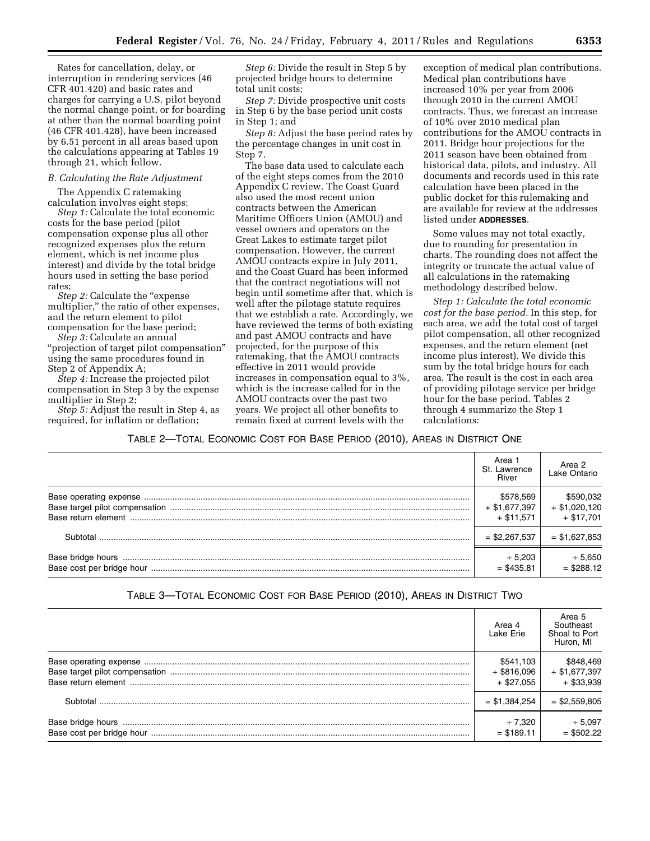Rates for cancellation, delay, or interruption in rendering services (46 CFR 401.420) and basic rates and charges for carrying a U.S. pilot beyond the normal change point, or for boarding at other than the normal boarding point (46 CFR 401.428), have been increased by 6.51 percent in all areas based upon the calculations appearing at Tables 19 through 21, which follow.

### *B. Calculating the Rate Adjustment*

The Appendix C ratemaking calculation involves eight steps: *Step 1:* Calculate the total economic costs for the base period (pilot compensation expense plus all other recognized expenses plus the return element, which is net income plus interest) and divide by the total bridge hours used in setting the base period rates;

*Step 2:* Calculate the ''expense multiplier,'' the ratio of other expenses, and the return element to pilot compensation for the base period;

*Step 3:* Calculate an annual ''projection of target pilot compensation'' using the same procedures found in Step 2 of Appendix A;

*Step 4:* Increase the projected pilot compensation in Step 3 by the expense multiplier in Step 2;

*Step 5:* Adjust the result in Step 4, as required, for inflation or deflation;

*Step 6:* Divide the result in Step 5 by projected bridge hours to determine total unit costs;

*Step 7:* Divide prospective unit costs in Step 6 by the base period unit costs in Step 1; and

*Step 8:* Adjust the base period rates by the percentage changes in unit cost in Step 7.

The base data used to calculate each of the eight steps comes from the 2010 Appendix C review. The Coast Guard also used the most recent union contracts between the American Maritime Officers Union (AMOU) and vessel owners and operators on the Great Lakes to estimate target pilot compensation. However, the current AMOU contracts expire in July 2011, and the Coast Guard has been informed that the contract negotiations will not begin until sometime after that, which is well after the pilotage statute requires that we establish a rate. Accordingly, we have reviewed the terms of both existing and past AMOU contracts and have projected, for the purpose of this ratemaking, that the AMOU contracts effective in 2011 would provide increases in compensation equal to 3%, which is the increase called for in the AMOU contracts over the past two years. We project all other benefits to remain fixed at current levels with the

exception of medical plan contributions. Medical plan contributions have increased 10% per year from 2006 through 2010 in the current AMOU contracts. Thus, we forecast an increase of 10% over 2010 medical plan contributions for the AMOU contracts in 2011. Bridge hour projections for the 2011 season have been obtained from historical data, pilots, and industry. All documents and records used in this rate calculation have been placed in the public docket for this rulemaking and are available for review at the addresses listed under **ADDRESSES**.

Some values may not total exactly, due to rounding for presentation in charts. The rounding does not affect the integrity or truncate the actual value of all calculations in the ratemaking methodology described below.

*Step 1: Calculate the total economic cost for the base period.* In this step, for each area, we add the total cost of target pilot compensation, all other recognized expenses, and the return element (net income plus interest). We divide this sum by the total bridge hours for each area. The result is the cost in each area of providing pilotage service per bridge hour for the base period. Tables 2 through 4 summarize the Step 1 calculations:

TABLE 2—TOTAL ECONOMIC COST FOR BASE PERIOD (2010), AREAS IN DISTRICT ONE

|          | Area 1<br>St. Lawrence<br>River | Area 2<br>Lake Ontario |
|----------|---------------------------------|------------------------|
|          | \$578,569                       | \$590,032              |
|          | $+$ \$1,677,397                 | $+$ \$1,020,120        |
|          | $+$ \$11.571                    | $+$ \$17.701           |
| Subtotal | $=$ \$2.267.537                 | $=$ \$1,627,853        |
|          | $+5.203$                        | $+5,650$               |
|          | $=$ \$435.81                    | $=$ \$288.12           |

# TABLE 3—TOTAL ECONOMIC COST FOR BASE PERIOD (2010), AREAS IN DISTRICT TWO

|          | Area 4<br>Lake Erie | Area 5<br>Southeast<br>Shoal to Port<br>Huron, MI |
|----------|---------------------|---------------------------------------------------|
|          | \$541.103           | \$848,469                                         |
|          | $+$ \$816,096       | $+$ \$1,677,397                                   |
|          | $+$ \$27.055        | $+$ \$33,939                                      |
| Subtotal | $=$ \$1,384,254     | $=$ \$2,559,805                                   |
|          | $+7.320$            | $+5,097$                                          |
|          | $=$ \$189.11        | $=$ \$502.22                                      |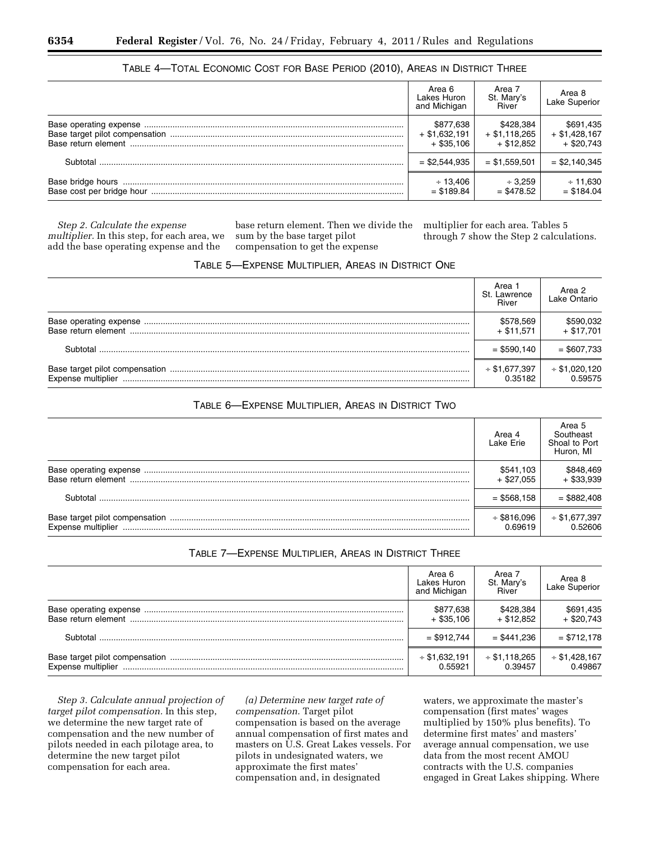# TABLE 4—TOTAL ECONOMIC COST FOR BASE PERIOD (2010), AREAS IN DISTRICT THREE

|          | Area 6<br>Lakes Huron<br>and Michigan | Area 7<br>St. Mary's<br>River | Area 8<br>Lake Superior |
|----------|---------------------------------------|-------------------------------|-------------------------|
|          | \$877,638                             | \$428.384                     | \$691,435               |
|          | $+$ \$1,632,191                       | $+$ \$1,118,265               | $+$ \$1,428,167         |
|          | $+$ \$35.106                          | $+$ \$12.852                  | $+$ \$20.743            |
| Subtotal | $=$ \$2,544,935                       | $=$ \$1.559.501               | $=$ \$2.140.345         |
|          | $\div$ 13.406                         | $+3.259$                      | $+11.630$               |
|          | $=$ \$189.84                          | $=$ \$478.52                  | $=$ \$184.04            |

*Step 2. Calculate the expense multiplier.* In this step, for each area, we add the base operating expense and the

base return element. Then we divide the sum by the base target pilot compensation to get the expense

multiplier for each area. Tables 5 through 7 show the Step 2 calculations.

## TABLE 5—EXPENSE MULTIPLIER, AREAS IN DISTRICT ONE

|                     | Area 1<br>St. Lawrence<br>River | Area 2<br>Lake Ontario     |
|---------------------|---------------------------------|----------------------------|
| Base return element | \$578,569<br>$+$ \$11.571       | \$590,032<br>$+$ \$17.701  |
| ⊰⊔htotal            | $=$ \$590,140                   | $=$ \$607,733              |
| Expense multiplier  | $*$ \$1,677,397<br>0.35182      | $*$ \$1,020,120<br>0.59575 |

## TABLE 6—EXPENSE MULTIPLIER, AREAS IN DISTRICT TWO

|          | Area 4<br>Lake Erie | Area 5<br>Southeast<br>Shoal to Port<br>Huron, MI |
|----------|---------------------|---------------------------------------------------|
|          | \$541,103           | \$848,469                                         |
|          | + \$27.055          | $+$ \$33,939                                      |
| Subtotal | $=$ \$568,158       | $=$ \$882,408                                     |
|          | $+$ \$816,096       | $*$ \$1,677,397                                   |
|          | 0.69619             | 0.52606                                           |

# TABLE 7—EXPENSE MULTIPLIER, AREAS IN DISTRICT THREE

|                    | Area 6<br>Lakes Huron<br>and Michigan | Area 7<br>St. Mary's<br>River | Area 8<br>Lake Superior   |
|--------------------|---------------------------------------|-------------------------------|---------------------------|
|                    | \$877,638<br>$+$ \$35.106             | \$428,384<br>$+$ \$12.852     | \$691,435<br>$+$ \$20.743 |
| Subtotal           | $=$ \$912.744                         | $=$ \$441.236                 | $= $712,178$              |
| Expense multiplier | $+$ \$1,632,191<br>0.55921            | $+$ \$1,118,265<br>0.39457    | $* $1,428,167$<br>0.49867 |

*Step 3. Calculate annual projection of target pilot compensation.* In this step, we determine the new target rate of compensation and the new number of pilots needed in each pilotage area, to determine the new target pilot compensation for each area.

*(a) Determine new target rate of compensation.* Target pilot compensation is based on the average annual compensation of first mates and masters on U.S. Great Lakes vessels. For pilots in undesignated waters, we approximate the first mates' compensation and, in designated

waters, we approximate the master's compensation (first mates' wages multiplied by 150% plus benefits). To determine first mates' and masters' average annual compensation, we use data from the most recent AMOU contracts with the U.S. companies engaged in Great Lakes shipping. Where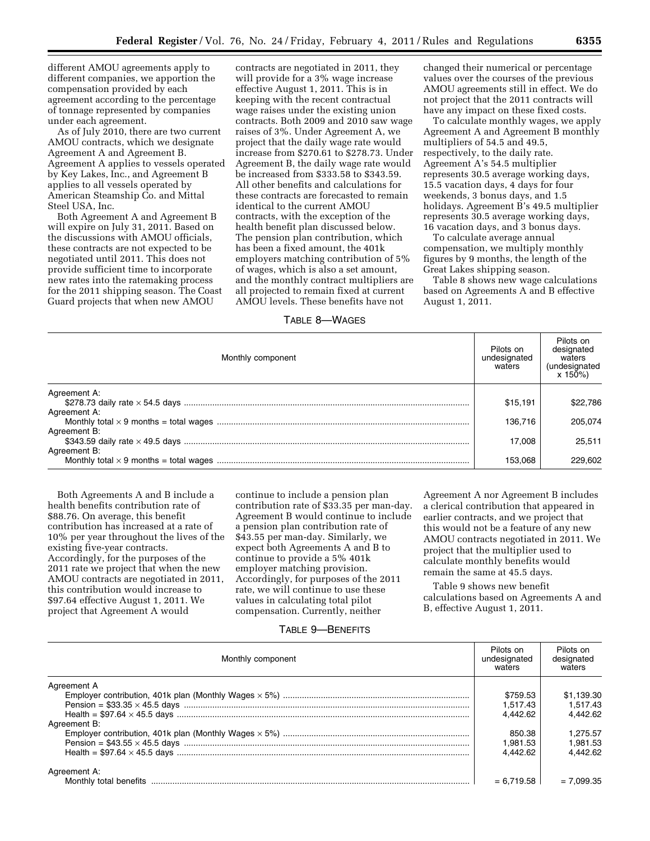different AMOU agreements apply to different companies, we apportion the compensation provided by each agreement according to the percentage of tonnage represented by companies under each agreement.

As of July 2010, there are two current AMOU contracts, which we designate Agreement A and Agreement B. Agreement A applies to vessels operated by Key Lakes, Inc., and Agreement B applies to all vessels operated by American Steamship Co. and Mittal Steel USA, Inc.

Both Agreement A and Agreement B will expire on July 31, 2011. Based on the discussions with AMOU officials, these contracts are not expected to be negotiated until 2011. This does not provide sufficient time to incorporate new rates into the ratemaking process for the 2011 shipping season. The Coast Guard projects that when new AMOU

contracts are negotiated in 2011, they will provide for a 3% wage increase effective August 1, 2011. This is in keeping with the recent contractual wage raises under the existing union contracts. Both 2009 and 2010 saw wage raises of 3%. Under Agreement A, we project that the daily wage rate would increase from \$270.61 to \$278.73. Under Agreement B, the daily wage rate would be increased from \$333.58 to \$343.59. All other benefits and calculations for these contracts are forecasted to remain identical to the current AMOU contracts, with the exception of the health benefit plan discussed below. The pension plan contribution, which has been a fixed amount, the 401k employers matching contribution of 5% of wages, which is also a set amount, and the monthly contract multipliers are all projected to remain fixed at current AMOU levels. These benefits have not

# TABLE 8—WAGES

changed their numerical or percentage values over the courses of the previous AMOU agreements still in effect. We do not project that the 2011 contracts will have any impact on these fixed costs.

To calculate monthly wages, we apply Agreement A and Agreement B monthly multipliers of 54.5 and 49.5, respectively, to the daily rate. Agreement A's 54.5 multiplier represents 30.5 average working days, 15.5 vacation days, 4 days for four weekends, 3 bonus days, and 1.5 holidays. Agreement B's 49.5 multiplier represents 30.5 average working days, 16 vacation days, and 3 bonus days.

To calculate average annual compensation, we multiply monthly figures by 9 months, the length of the Great Lakes shipping season.

Table 8 shows new wage calculations based on Agreements A and B effective August 1, 2011.

| Monthly component | Pilots on<br>undesignated<br>waters | Pilots on<br>designated<br>waters<br>(undesignated<br>$x 150\%)$ |
|-------------------|-------------------------------------|------------------------------------------------------------------|
| Agreement A:      |                                     |                                                                  |
|                   | \$15.191                            | \$22,786                                                         |
| Agreement A:      |                                     |                                                                  |
|                   | 136.716                             | 205.074                                                          |
| Agreement B:      |                                     |                                                                  |
|                   | 17,008                              | 25.511                                                           |
| Agreement B:      |                                     |                                                                  |
|                   | 153.068                             | 229,602                                                          |

Both Agreements A and B include a health benefits contribution rate of \$88.76. On average, this benefit contribution has increased at a rate of 10% per year throughout the lives of the existing five-year contracts. Accordingly, for the purposes of the 2011 rate we project that when the new AMOU contracts are negotiated in 2011, this contribution would increase to \$97.64 effective August 1, 2011. We project that Agreement A would

continue to include a pension plan contribution rate of \$33.35 per man-day. Agreement B would continue to include a pension plan contribution rate of \$43.55 per man-day. Similarly, we expect both Agreements A and B to continue to provide a 5% 401k employer matching provision. Accordingly, for purposes of the 2011 rate, we will continue to use these values in calculating total pilot compensation. Currently, neither

Agreement A nor Agreement B includes a clerical contribution that appeared in earlier contracts, and we project that this would not be a feature of any new AMOU contracts negotiated in 2011. We project that the multiplier used to calculate monthly benefits would remain the same at 45.5 days.

Table 9 shows new benefit calculations based on Agreements A and B, effective August 1, 2011.

## TABLE 9—BENEFITS

| Monthly component      | Pilots on<br>undesignated<br>waters | Pilots on<br>designated<br>waters |
|------------------------|-------------------------------------|-----------------------------------|
| Agreement A            |                                     |                                   |
|                        | \$759.53                            | \$1.139.30                        |
|                        | 1.517.43                            | 1.517.43                          |
|                        | 4.442.62                            | 4.442.62                          |
| Agreement B:           |                                     |                                   |
|                        | 850.38                              | 1.275.57                          |
|                        | 1.981.53                            | 1.981.53                          |
|                        | 4.442.62                            | 4.442.62                          |
| Agreement A:           |                                     |                                   |
| Monthly total benefits | $= 6.719.58$                        | $= 7.099.35$                      |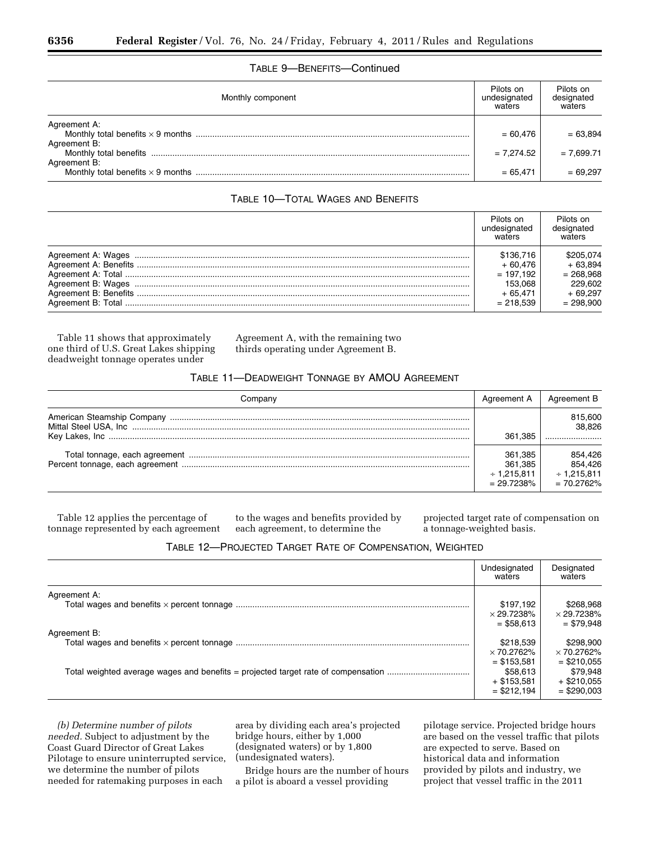## TABLE 9—BENEFITS—Continued

| Monthly component            | Pilots on<br>undesignated<br>waters | Pilots on<br>designated<br>waters |
|------------------------------|-------------------------------------|-----------------------------------|
| Agreement A:<br>Agreement B: | $= 60.476$                          | $= 63.894$                        |
| Agreement B:                 | $= 7.274.52$                        | $= 7.699.71$                      |
|                              | $= 65.471$                          | $= 69.297$                        |

# TABLE 10—TOTAL WAGES AND BENEFITS

| Pilots on<br>undesignated<br>waters | Pilots on<br>designated<br>waters |
|-------------------------------------|-----------------------------------|
| \$136.716                           | \$205.074                         |
| $+60.476$                           | $+63.894$                         |
| $= 197.192$                         | $= 268.968$                       |
| 153.068                             | 229.602                           |
| $+65.471$                           | $+69.297$                         |
| $= 218.539$                         | $= 298.900$                       |

Table 11 shows that approximately one third of U.S. Great Lakes shipping deadweight tonnage operates under

Agreement A, with the remaining two thirds operating under Agreement B.

## TABLE 11—DEADWEIGHT TONNAGE BY AMOU AGREEMENT

| Companv | Agreement A                                        | Agreement B                                            |
|---------|----------------------------------------------------|--------------------------------------------------------|
|         |                                                    | 815,600<br>38.826                                      |
|         | 361.385                                            |                                                        |
|         | 361.385<br>361.385<br>$+1.215.811$<br>$= 29.7238%$ | 854.426<br>854.426<br>$\div$ 1.215.811<br>$= 70.2762%$ |

Table 12 applies the percentage of tonnage represented by each agreement

to the wages and benefits provided by each agreement, to determine the

projected target rate of compensation on a tonnage-weighted basis.

| TABLE 12—PROJECTED TARGET RATE OF COMPENSATION, WEIGHTED |  |  |  |
|----------------------------------------------------------|--|--|--|
|----------------------------------------------------------|--|--|--|

|              | Undesignated<br>waters                                    | Designated<br>waters                                        |
|--------------|-----------------------------------------------------------|-------------------------------------------------------------|
| Agreement A: | \$197.192<br>$\times$ 29.7238%<br>$=$ \$58.613            | \$268.968<br>$\times$ 29.7238%<br>$= $79.948$               |
| Agreement B: | \$218,539<br>$\times$ 70.2762%                            | \$298.900<br>$\times$ 70.2762%                              |
|              | $=$ \$153.581<br>\$58,613<br>+ \$153.581<br>$=$ \$212.194 | $=$ \$210.055<br>\$79.948<br>$+$ \$210,055<br>$=$ \$290,003 |

*(b) Determine number of pilots needed.* Subject to adjustment by the Coast Guard Director of Great Lakes Pilotage to ensure uninterrupted service, we determine the number of pilots needed for ratemaking purposes in each

area by dividing each area's projected bridge hours, either by 1,000 (designated waters) or by 1,800 (undesignated waters).

Bridge hours are the number of hours a pilot is aboard a vessel providing

pilotage service. Projected bridge hours are based on the vessel traffic that pilots are expected to serve. Based on historical data and information provided by pilots and industry, we project that vessel traffic in the 2011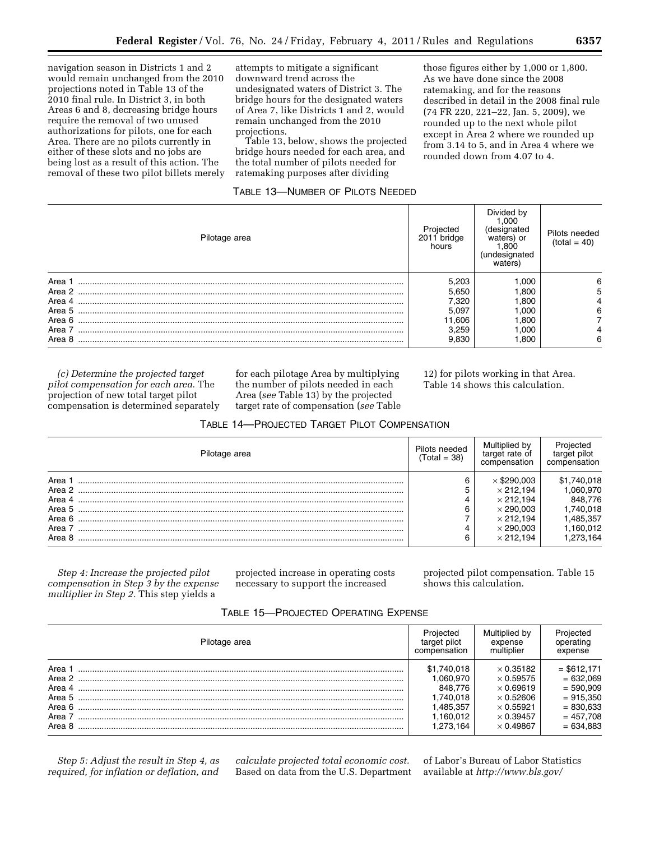navigation season in Districts 1 and 2 would remain unchanged from the 2010 projections noted in Table 13 of the 2010 final rule. In District 3, in both Areas 6 and 8, decreasing bridge hours require the removal of two unused authorizations for pilots, one for each Area. There are no pilots currently in either of these slots and no jobs are being lost as a result of this action. The removal of these two pilot billets merely attempts to mitigate a significant downward trend across the undesignated waters of District 3. The bridge hours for the designated waters of Area 7, like Districts 1 and 2, would remain unchanged from the 2010 projections.

Table 13, below, shows the projected bridge hours needed for each area, and the total number of pilots needed for ratemaking purposes after dividing

## TABLE 13—NUMBER OF PILOTS NEEDED

those figures either by 1,000 or 1,800. As we have done since the 2008 ratemaking, and for the reasons described in detail in the 2008 final rule (74 FR 220, 221–22, Jan. 5, 2009), we rounded up to the next whole pilot except in Area 2 where we rounded up from 3.14 to 5, and in Area 4 where we rounded down from 4.07 to 4.

| Pilotage area | Projected<br>2011 bridge<br>hours | Divided by<br>1.000<br>(designated<br>waters) or<br>1,800<br>(undesignated<br>waters) | Pilots needed<br>$(total = 40)$ |
|---------------|-----------------------------------|---------------------------------------------------------------------------------------|---------------------------------|
| Area 1        | 5,203                             | 1.000                                                                                 | 6                               |
| Area 2        | 5,650                             | 1.800                                                                                 | 5                               |
| Area 4        | 7,320                             | 1,800                                                                                 |                                 |
| Area 5        | 5,097                             | 1.000                                                                                 | 6                               |
| Area 6        | 11,606                            | 1.800                                                                                 |                                 |
| Area 7        | 3,259                             | 1.000                                                                                 |                                 |
| Area 8        | 9,830                             | 800. ا                                                                                | 6                               |

*(c) Determine the projected target pilot compensation for each area.* The projection of new total target pilot compensation is determined separately for each pilotage Area by multiplying the number of pilots needed in each Area (*see* Table 13) by the projected target rate of compensation (*see* Table

TABLE 14—PROJECTED TARGET PILOT COMPENSATION

12) for pilots working in that Area. Table 14 shows this calculation.

| Pilotage area | Pilots needed<br>(Total = 38) | Multiplied by<br>target rate of<br>compensation | Projected<br>target pilot<br>compensation |
|---------------|-------------------------------|-------------------------------------------------|-------------------------------------------|
| Area          |                               | $\times$ \$290.003                              | \$1,740,018                               |
| Area 2        | 5                             | $\times$ 212.194                                | .060.970                                  |
| Area 4        | 4                             | $\times$ 212.194                                | 848.776                                   |
| Area 5        | 6                             | $\times$ 290.003                                | .740.018                                  |
| Area 6        |                               | $\times$ 212.194                                | .485,357                                  |
| Area 7        |                               | $\times$ 290.003                                | 1.160.012                                 |
| Area 8        | 6                             | $\times$ 212.194                                | .273.164                                  |

*Step 4: Increase the projected pilot compensation in Step 3 by the expense multiplier in Step 2.* This step yields a

projected increase in operating costs necessary to support the increased

projected pilot compensation. Table 15 shows this calculation.

| TABLE 15—PROJECTED OPERATING EXPENSE |  |  |
|--------------------------------------|--|--|
|                                      |  |  |

| Pilotage area                                | Projected                                                                           | Multiplied by                                                                                                                            | Projected                                                                                               |
|----------------------------------------------|-------------------------------------------------------------------------------------|------------------------------------------------------------------------------------------------------------------------------------------|---------------------------------------------------------------------------------------------------------|
|                                              | target pilot                                                                        | expense                                                                                                                                  | operating                                                                                               |
|                                              | compensation                                                                        | multiplier                                                                                                                               | expense                                                                                                 |
| Area<br>Area 2<br>Area 4<br>Area 7<br>Area 8 | \$1,740,018<br>.060.970<br>848.776<br>.740.018<br>.485.357<br>1.160.012<br>.273.164 | $\times$ 0.35182<br>$\times$ 0.59575<br>$\times$ 0.69619<br>$\times$ 0.52606<br>$\times$ 0.55921<br>$\times$ 0.39457<br>$\times$ 0.49867 | $=$ \$612.171<br>$= 632.069$<br>$= 590.909$<br>$= 915,350$<br>$= 830.633$<br>$= 457,708$<br>$= 634.883$ |

*Step 5: Adjust the result in Step 4, as required, for inflation or deflation, and*  *calculate projected total economic cost.*  Based on data from the U.S. Department

of Labor's Bureau of Labor Statistics available at *<http://www.bls.gov/>*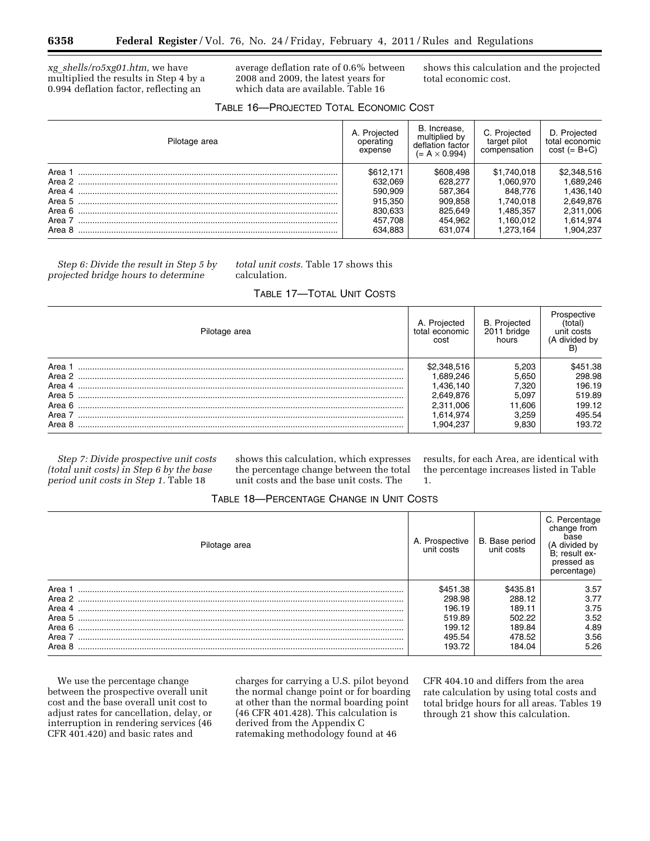*xg*\_*shells/ro5xg01.htm,* we have multiplied the results in Step 4 by a 0.994 deflation factor, reflecting an

average deflation rate of 0.6% between 2008 and 2009, the latest years for which data are available. Table 16

shows this calculation and the projected total economic cost.

| Pilotage area | A. Projected<br>operating<br>expense | B. Increase,<br>multiplied by<br>deflation factor<br>$(= A \times 0.994)$ | C. Projected<br>target pilot<br>compensation | D. Projected<br>total economic<br>$cost (= B+C)$ |
|---------------|--------------------------------------|---------------------------------------------------------------------------|----------------------------------------------|--------------------------------------------------|
| Area 1        | \$612.171                            | \$608.498                                                                 | \$1,740,018                                  | \$2,348,516                                      |
|               | 632.069                              | 628.277                                                                   | 1.060.970                                    | 1,689,246                                        |
|               | 590.909                              | 587.364                                                                   | 848.776                                      | 1.436.140                                        |
|               | 915.350                              | 909.858                                                                   | 1.740.018                                    | 2,649,876                                        |
|               | 830.633                              | 825.649                                                                   | 1.485.357                                    | 2,311,006                                        |
|               | 457.708                              | 454.962                                                                   | 1.160.012                                    | 1,614,974                                        |
| Area 8        | 634.883                              | 631.074                                                                   | 1.273.164                                    | 1.904.237                                        |

*Step 6: Divide the result in Step 5 by projected bridge hours to determine* 

## *total unit costs.* Table 17 shows this calculation.

# TABLE 17—TOTAL UNIT COSTS

| Pilotage area                                                    | A. Projected<br>total economic<br>cost                                                   | <b>B.</b> Projected<br>2011 bridge<br>hours                 | Prospective<br>(total)<br>unit costs<br>(A divided by<br>в           |
|------------------------------------------------------------------|------------------------------------------------------------------------------------------|-------------------------------------------------------------|----------------------------------------------------------------------|
| Area<br>Area 2<br>Area 4<br>Area 5<br>Area 6<br>Area 7<br>Area 8 | \$2,348,516<br>1.689,246<br>1.436.140<br>2.649.876<br>2,311,006<br>1.614.974<br>.904.237 | 5.203<br>5.650<br>7,320<br>5.097<br>1.606<br>3.259<br>9.830 | \$451.38<br>298.98<br>196.19<br>519.89<br>199.12<br>495.54<br>193.72 |

*Step 7: Divide prospective unit costs (total unit costs) in Step 6 by the base period unit costs in Step 1.* Table 18

shows this calculation, which expresses the percentage change between the total unit costs and the base unit costs. The

results, for each Area, are identical with the percentage increases listed in Table 1.

| TABLE 18-PERCENTAGE CHANGE IN UNIT COSTS |  |  |  |
|------------------------------------------|--|--|--|
|------------------------------------------|--|--|--|

| Pilotage area | A. Prospective<br>unit costs | B. Base period<br>unit costs | C. Percentage<br>change from<br>base<br>(A divided by<br>B: result ex-<br>pressed as<br>percentage) |
|---------------|------------------------------|------------------------------|-----------------------------------------------------------------------------------------------------|
| Area 1        | \$451.38                     | \$435.81                     | 3.57                                                                                                |
| Area 2        | 298.98                       | 288.12                       | 3.77                                                                                                |
| Area 4        | 196.19                       | 189.11                       | 3.75                                                                                                |
| Area 5        | 519.89                       | 502.22                       | 3.52                                                                                                |
| Area 6        | 199.12                       | 189.84                       | 4.89                                                                                                |
| Area 7        | 495.54                       | 478.52                       | 3.56                                                                                                |
| Area 8        | 193.72                       | 184.04                       | 5.26                                                                                                |

We use the percentage change between the prospective overall unit cost and the base overall unit cost to adjust rates for cancellation, delay, or interruption in rendering services (46 CFR 401.420) and basic rates and

charges for carrying a U.S. pilot beyond the normal change point or for boarding at other than the normal boarding point (46 CFR 401.428). This calculation is derived from the Appendix C ratemaking methodology found at 46

CFR 404.10 and differs from the area rate calculation by using total costs and total bridge hours for all areas. Tables 19 through 21 show this calculation.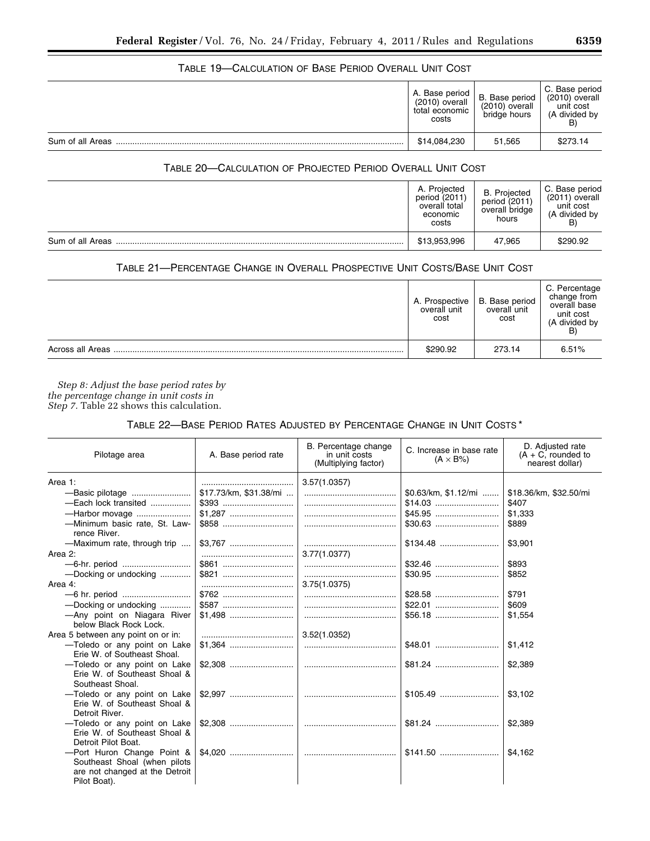# TABLE 19—CALCULATION OF BASE PERIOD OVERALL UNIT COST

|                  | A. Base period  <br>(2010) overall<br>total economic<br>costs | B. Base period<br>$(2010)$ overall<br>bridge hours | C. Base period<br>(2010) overall<br>unit cost<br>(A divided by<br>B, |
|------------------|---------------------------------------------------------------|----------------------------------------------------|----------------------------------------------------------------------|
| Sum of all Areas | \$14,084,230                                                  | 51,565                                             | \$273.14                                                             |

# TABLE 20—CALCULATION OF PROJECTED PERIOD OVERALL UNIT COST

|                  | A. Projected<br>period (2011)<br>overall total<br>economic<br>costs | <b>B.</b> Projected<br>period (2011)<br>overall bridge<br>hours | C. Base period<br>(2011) overall<br>unit cost<br>(A divided by<br>B |
|------------------|---------------------------------------------------------------------|-----------------------------------------------------------------|---------------------------------------------------------------------|
| Sum of all Areas | \$13,953,996                                                        | 47,965                                                          | \$290.92                                                            |

# TABLE 21—PERCENTAGE CHANGE IN OVERALL PROSPECTIVE UNIT COSTS/BASE UNIT COST

|                  | A. Prospective<br>overall unit<br>cost | B. Base period<br>overall unit<br>cost | C. Percentage<br>change from<br>overall base<br>unit cost<br>(A divided by |
|------------------|----------------------------------------|----------------------------------------|----------------------------------------------------------------------------|
| Across all Areas | \$290.92                               | 273.14                                 | 6.51%                                                                      |

*Step 8: Adjust the base period rates by the percentage change in unit costs in Step 7.* Table 22 shows this calculation.

# TABLE 22—BASE PERIOD RATES ADJUSTED BY PERCENTAGE CHANGE IN UNIT COSTS \*

| Pilotage area                                                                                                                                                                                                                                                                                                  | A. Base period rate             | B. Percentage change<br>in unit costs<br>(Multiplying factor) | C. Increase in base rate<br>$(A \times B\%)$ | D. Adjusted rate<br>$(A + C,$ rounded to<br>nearest dollar)                                        |
|----------------------------------------------------------------------------------------------------------------------------------------------------------------------------------------------------------------------------------------------------------------------------------------------------------------|---------------------------------|---------------------------------------------------------------|----------------------------------------------|----------------------------------------------------------------------------------------------------|
| Area 1:<br>-Each lock transited<br>-Harbor movage<br>-Minimum basic rate, St. Law-<br>rence River.<br>-Maximum rate, through trip<br>Area 2:<br>-6-hr. period<br>-Docking or undocking<br>Area 4:<br>-Docking or undocking                                                                                     | \$17.73/km, \$31.38/mi<br>\$762 | 3.57(1.0357)<br>3.77(1.0377)<br>3.75(1.0375)                  | $$0.63/km, $1.12/mi$                         | \$18.36/km, \$32.50/mi<br>\$407<br>\$1,333<br>\$889<br>\$3,901<br>\$893<br>\$852<br>\$791<br>\$609 |
| -Any point on Niagara River<br>below Black Rock Lock.<br>Area 5 between any point on or in:<br>-Toledo or any point on Lake<br>Erie W. of Southeast Shoal.<br>-Toledo or any point on Lake<br>Erie W. of Southeast Shoal &<br>Southeast Shoal.<br>-Toledo or any point on Lake<br>Erie W. of Southeast Shoal & |                                 | 3.52(1.0352)                                                  |                                              | \$1,554<br>\$1.412<br>\$2,389<br>\$3.102                                                           |
| Detroit River.<br>-Toledo or any point on Lake<br>Erie W. of Southeast Shoal &<br>Detroit Pilot Boat.<br>-Port Huron Change Point &<br>Southeast Shoal (when pilots<br>are not changed at the Detroit<br>Pilot Boat).                                                                                          |                                 |                                                               |                                              | \$2,389<br>\$4.162                                                                                 |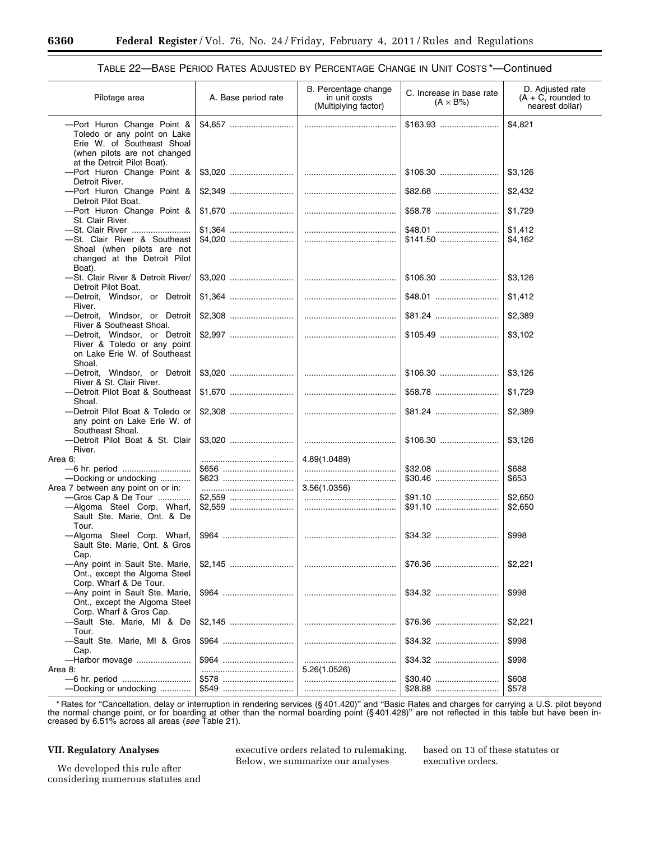| Pilotage area                                                                                          | A. Base period rate | B. Percentage change<br>in unit costs<br>(Multiplying factor) | C. Increase in base rate<br>$(A \times B\%)$ | D. Adjusted rate<br>$(A + C,$ rounded to<br>nearest dollar) |
|--------------------------------------------------------------------------------------------------------|---------------------|---------------------------------------------------------------|----------------------------------------------|-------------------------------------------------------------|
| -Port Huron Change Point &<br>Toledo or any point on Lake<br>Erie W. of Southeast Shoal                |                     |                                                               | $$163.93$                                    | \$4,821                                                     |
| (when pilots are not changed<br>at the Detroit Pilot Boat).                                            |                     |                                                               |                                              |                                                             |
| -Port Huron Change Point &<br>Detroit River.                                                           |                     |                                                               |                                              | \$3,126                                                     |
| -Port Huron Change Point &<br>Detroit Pilot Boat.                                                      |                     |                                                               |                                              | \$2,432                                                     |
| -Port Huron Change Point &<br>St. Clair River.                                                         |                     |                                                               |                                              | \$1,729                                                     |
| -St. Clair River<br>-St. Clair River & Southeast                                                       |                     |                                                               |                                              | \$1,412<br>\$4,162                                          |
| Shoal (when pilots are not<br>changed at the Detroit Pilot<br>Boat).                                   |                     |                                                               |                                              |                                                             |
| -St. Clair River & Detroit River/<br>Detroit Pilot Boat.                                               |                     |                                                               |                                              | \$3,126                                                     |
| -Detroit, Windsor, or Detroit<br>River.                                                                |                     |                                                               |                                              | \$1,412                                                     |
| -Detroit, Windsor, or Detroit<br>River & Southeast Shoal.                                              |                     |                                                               |                                              | \$2,389                                                     |
| -Detroit, Windsor, or Detroit<br>River & Toledo or any point<br>on Lake Erie W. of Southeast<br>Shoal. |                     |                                                               |                                              | \$3,102                                                     |
| -Detroit, Windsor, or Detroit<br>River & St. Clair River.                                              |                     |                                                               |                                              | \$3,126                                                     |
| -Detroit Pilot Boat & Southeast<br>Shoal.                                                              |                     |                                                               |                                              | \$1,729                                                     |
| -Detroit Pilot Boat & Toledo or<br>any point on Lake Erie W. of<br>Southeast Shoal.                    |                     |                                                               |                                              | \$2,389                                                     |
| -Detroit Pilot Boat & St. Clair<br>River.                                                              |                     |                                                               |                                              | \$3,126                                                     |
| Area 6:                                                                                                |                     | 4.89(1.0489)                                                  |                                              |                                                             |
|                                                                                                        |                     |                                                               |                                              | \$688                                                       |
| -Docking or undocking<br>Area 7 between any point on or in:                                            |                     | 3.56(1.0356)                                                  |                                              | \$653                                                       |
| -Gros Cap & De Tour                                                                                    |                     |                                                               | \$91.10                                      | \$2,650                                                     |
| -Algoma Steel Corp. Wharf,<br>Sault Ste. Marie, Ont. & De                                              |                     |                                                               |                                              | \$2,650                                                     |
| Tour.<br>-Algoma Steel Corp. Wharf,<br>Sault Ste. Marie, Ont. & Gros                                   |                     |                                                               |                                              | \$998                                                       |
| Cap.<br>-Any point in Sault Ste. Marie,<br>Ont., except the Algoma Steel                               |                     |                                                               | \$76.36                                      | \$2,221                                                     |
| Corp. Wharf & De Tour.<br>-Any point in Sault Ste. Marie,<br>Ont., except the Algoma Steel             |                     |                                                               |                                              | \$998                                                       |
| Corp. Wharf & Gros Cap.<br>-Sault Ste. Marie, MI & De                                                  |                     |                                                               |                                              | \$2,221                                                     |
| Tour.<br>-Sault Ste. Marie, MI & Gros<br>Cap.                                                          | \$964               |                                                               |                                              | \$998                                                       |
| -Harbor movage                                                                                         |                     |                                                               |                                              | \$998                                                       |
| Area 8:                                                                                                |                     | 5.26(1.0526)                                                  |                                              |                                                             |
| -Docking or undocking                                                                                  |                     |                                                               |                                              | \$608<br>\$578                                              |
|                                                                                                        |                     |                                                               |                                              |                                                             |

# TABLE 22—BASE PERIOD RATES ADJUSTED BY PERCENTAGE CHANGE IN UNIT COSTS \*—Continued

\* Rates for "Cancellation, delay or interruption in rendering services (§401.420)" and "Basic Rates and charges for carrying a U.S. pilot beyond<br>-the normal change point, or for boarding at other than the normal boarding p creased by 6.51% across all areas (*see* Table 21).

# **VII. Regulatory Analyses**

We developed this rule after considering numerous statutes and

executive orders related to rulemaking. Below, we summarize our analyses

based on 13 of these statutes or executive orders.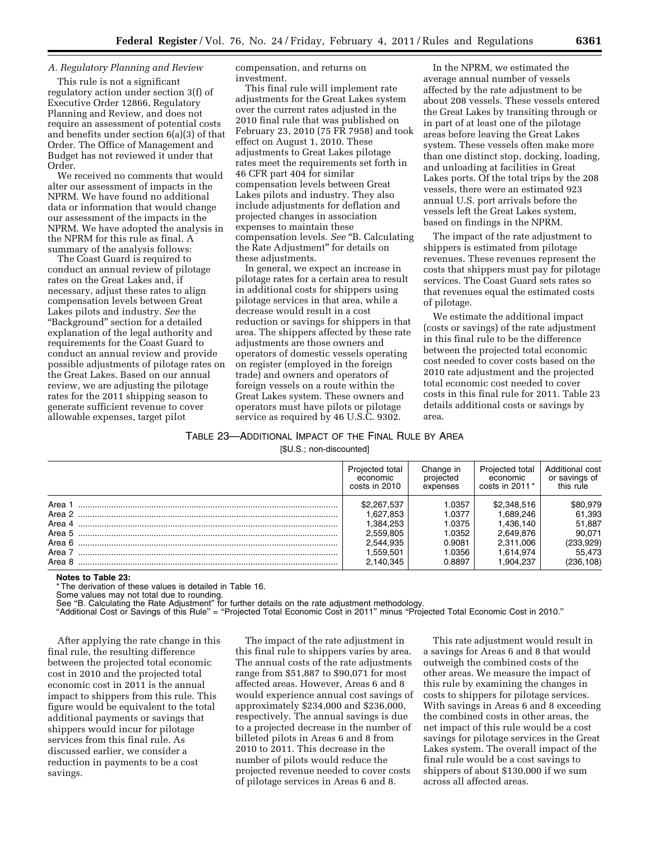## *A. Regulatory Planning and Review*

This rule is not a significant regulatory action under section 3(f) of Executive Order 12866, Regulatory Planning and Review, and does not require an assessment of potential costs and benefits under section 6(a)(3) of that Order. The Office of Management and Budget has not reviewed it under that Order.

We received no comments that would alter our assessment of impacts in the NPRM. We have found no additional data or information that would change our assessment of the impacts in the NPRM. We have adopted the analysis in the NPRM for this rule as final. A summary of the analysis follows:

The Coast Guard is required to conduct an annual review of pilotage rates on the Great Lakes and, if necessary, adjust these rates to align compensation levels between Great Lakes pilots and industry. *See* the ''Background'' section for a detailed explanation of the legal authority and requirements for the Coast Guard to conduct an annual review and provide possible adjustments of pilotage rates on the Great Lakes. Based on our annual review, we are adjusting the pilotage rates for the 2011 shipping season to generate sufficient revenue to cover allowable expenses, target pilot

compensation, and returns on investment.

This final rule will implement rate adjustments for the Great Lakes system over the current rates adjusted in the 2010 final rule that was published on February 23, 2010 (75 FR 7958) and took effect on August 1, 2010. These adjustments to Great Lakes pilotage rates meet the requirements set forth in 46 CFR part 404 for similar compensation levels between Great Lakes pilots and industry. They also include adjustments for deflation and projected changes in association expenses to maintain these compensation levels. *See* ''B. Calculating the Rate Adjustment'' for details on these adjustments.

In general, we expect an increase in pilotage rates for a certain area to result in additional costs for shippers using pilotage services in that area, while a decrease would result in a cost reduction or savings for shippers in that area. The shippers affected by these rate adjustments are those owners and operators of domestic vessels operating on register (employed in the foreign trade) and owners and operators of foreign vessels on a route within the Great Lakes system. These owners and operators must have pilots or pilotage service as required by 46 U.S.C. 9302.

In the NPRM, we estimated the average annual number of vessels affected by the rate adjustment to be about 208 vessels. These vessels entered the Great Lakes by transiting through or in part of at least one of the pilotage areas before leaving the Great Lakes system. These vessels often make more than one distinct stop, docking, loading, and unloading at facilities in Great Lakes ports. Of the total trips by the 208 vessels, there were an estimated 923 annual U.S. port arrivals before the vessels left the Great Lakes system, based on findings in the NPRM.

The impact of the rate adjustment to shippers is estimated from pilotage revenues. These revenues represent the costs that shippers must pay for pilotage services. The Coast Guard sets rates so that revenues equal the estimated costs of pilotage.

We estimate the additional impact (costs or savings) of the rate adjustment in this final rule to be the difference between the projected total economic cost needed to cover costs based on the 2010 rate adjustment and the projected total economic cost needed to cover costs in this final rule for 2011. Table 23 details additional costs or savings by area.

### TABLE 23—ADDITIONAL IMPACT OF THE FINAL RULE BY AREA

[\$U.S.; non-discounted]

|                                                                    | Projected total                                                                         | Change in                                                         | Projected total                                                                           | Additional cost                                                            |
|--------------------------------------------------------------------|-----------------------------------------------------------------------------------------|-------------------------------------------------------------------|-------------------------------------------------------------------------------------------|----------------------------------------------------------------------------|
|                                                                    | economic                                                                                | projected                                                         | economic                                                                                  | or savings of                                                              |
|                                                                    | costs in 2010                                                                           | expenses                                                          | costs in $2011*$                                                                          | this rule                                                                  |
| Area 1<br>Area 2<br>Area 4<br>Area 5<br>Area 6<br>Area 7<br>Area 8 | \$2,267,537<br>1,627,853<br>.384.253<br>2.559.805<br>2,544,935<br>.559.501<br>2,140,345 | .0357<br>1.0377<br>1.0375<br>1.0352<br>0.9081<br>1.0356<br>0.8897 | \$2,348,516<br>1.689.246<br>1.436.140<br>2.649.876<br>2,311,006<br>1.614.974<br>1,904,237 | \$80.979<br>61,393<br>51.887<br>90.071<br>(233,929)<br>55.473<br>(236,108) |

#### **Notes to Table 23:**

\* The derivation of these values is detailed in Table 16.

Some values may not total due to rounding. See ''B. Calculating the Rate Adjustment'' for further details on the rate adjustment methodology.

''Additional Cost or Savings of this Rule'' = ''Projected Total Economic Cost in 2011'' minus ''Projected Total Economic Cost in 2010.''

After applying the rate change in this final rule, the resulting difference between the projected total economic cost in 2010 and the projected total economic cost in 2011 is the annual impact to shippers from this rule. This figure would be equivalent to the total additional payments or savings that shippers would incur for pilotage services from this final rule. As discussed earlier, we consider a reduction in payments to be a cost savings.

The impact of the rate adjustment in this final rule to shippers varies by area. The annual costs of the rate adjustments range from \$51,887 to \$90,071 for most affected areas. However, Areas 6 and 8 would experience annual cost savings of approximately \$234,000 and \$236,000, respectively. The annual savings is due to a projected decrease in the number of billeted pilots in Areas 6 and 8 from 2010 to 2011. This decrease in the number of pilots would reduce the projected revenue needed to cover costs of pilotage services in Areas 6 and 8.

This rate adjustment would result in a savings for Areas 6 and 8 that would outweigh the combined costs of the other areas. We measure the impact of this rule by examining the changes in costs to shippers for pilotage services. With savings in Areas 6 and 8 exceeding the combined costs in other areas, the net impact of this rule would be a cost savings for pilotage services in the Great Lakes system. The overall impact of the final rule would be a cost savings to shippers of about \$130,000 if we sum across all affected areas.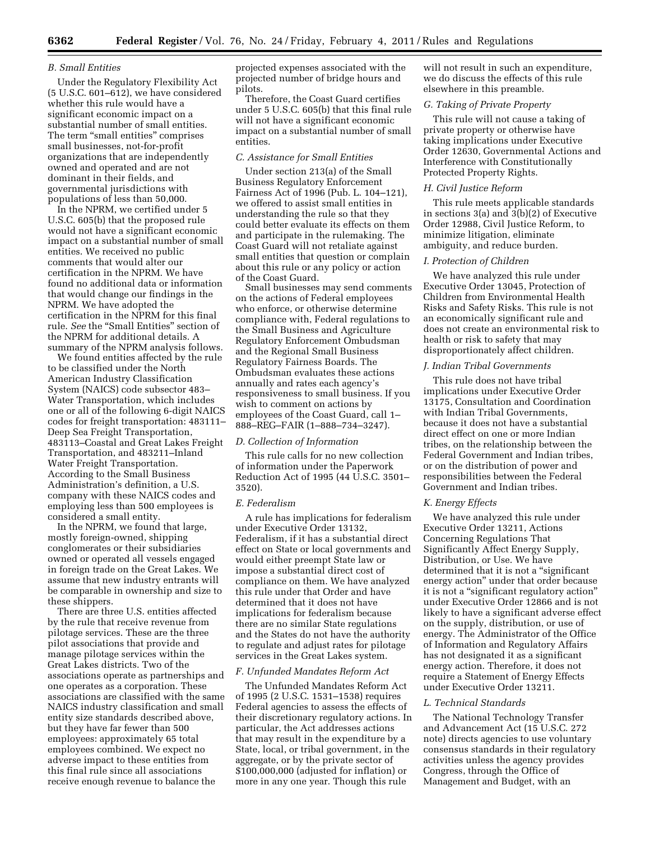### *B. Small Entities*

Under the Regulatory Flexibility Act (5 U.S.C. 601–612), we have considered whether this rule would have a significant economic impact on a substantial number of small entities. The term "small entities" comprises small businesses, not-for-profit organizations that are independently owned and operated and are not dominant in their fields, and governmental jurisdictions with populations of less than 50,000.

In the NPRM, we certified under 5 U.S.C. 605(b) that the proposed rule would not have a significant economic impact on a substantial number of small entities. We received no public comments that would alter our certification in the NPRM. We have found no additional data or information that would change our findings in the NPRM. We have adopted the certification in the NPRM for this final rule. *See* the ''Small Entities'' section of the NPRM for additional details. A summary of the NPRM analysis follows.

We found entities affected by the rule to be classified under the North American Industry Classification System (NAICS) code subsector 483– Water Transportation, which includes one or all of the following 6-digit NAICS codes for freight transportation: 483111– Deep Sea Freight Transportation, 483113–Coastal and Great Lakes Freight Transportation, and 483211–Inland Water Freight Transportation. According to the Small Business Administration's definition, a U.S. company with these NAICS codes and employing less than 500 employees is considered a small entity.

In the NPRM, we found that large, mostly foreign-owned, shipping conglomerates or their subsidiaries owned or operated all vessels engaged in foreign trade on the Great Lakes. We assume that new industry entrants will be comparable in ownership and size to these shippers.

There are three U.S. entities affected by the rule that receive revenue from pilotage services. These are the three pilot associations that provide and manage pilotage services within the Great Lakes districts. Two of the associations operate as partnerships and one operates as a corporation. These associations are classified with the same NAICS industry classification and small entity size standards described above, but they have far fewer than 500 employees: approximately 65 total employees combined. We expect no adverse impact to these entities from this final rule since all associations receive enough revenue to balance the

projected expenses associated with the projected number of bridge hours and pilots.

Therefore, the Coast Guard certifies under 5 U.S.C. 605(b) that this final rule will not have a significant economic impact on a substantial number of small entities.

## *C. Assistance for Small Entities*

Under section 213(a) of the Small Business Regulatory Enforcement Fairness Act of 1996 (Pub. L. 104–121), we offered to assist small entities in understanding the rule so that they could better evaluate its effects on them and participate in the rulemaking. The Coast Guard will not retaliate against small entities that question or complain about this rule or any policy or action of the Coast Guard.

Small businesses may send comments on the actions of Federal employees who enforce, or otherwise determine compliance with, Federal regulations to the Small Business and Agriculture Regulatory Enforcement Ombudsman and the Regional Small Business Regulatory Fairness Boards. The Ombudsman evaluates these actions annually and rates each agency's responsiveness to small business. If you wish to comment on actions by employees of the Coast Guard, call 1– 888–REG–FAIR (1–888–734–3247).

#### *D. Collection of Information*

This rule calls for no new collection of information under the Paperwork Reduction Act of 1995 (44 U.S.C. 3501– 3520).

#### *E. Federalism*

A rule has implications for federalism under Executive Order 13132, Federalism, if it has a substantial direct effect on State or local governments and would either preempt State law or impose a substantial direct cost of compliance on them. We have analyzed this rule under that Order and have determined that it does not have implications for federalism because there are no similar State regulations and the States do not have the authority to regulate and adjust rates for pilotage services in the Great Lakes system.

### *F. Unfunded Mandates Reform Act*

The Unfunded Mandates Reform Act of 1995 (2 U.S.C. 1531–1538) requires Federal agencies to assess the effects of their discretionary regulatory actions. In particular, the Act addresses actions that may result in the expenditure by a State, local, or tribal government, in the aggregate, or by the private sector of \$100,000,000 (adjusted for inflation) or more in any one year. Though this rule

will not result in such an expenditure, we do discuss the effects of this rule elsewhere in this preamble.

## *G. Taking of Private Property*

This rule will not cause a taking of private property or otherwise have taking implications under Executive Order 12630, Governmental Actions and Interference with Constitutionally Protected Property Rights.

# *H. Civil Justice Reform*

This rule meets applicable standards in sections 3(a) and 3(b)(2) of Executive Order 12988, Civil Justice Reform, to minimize litigation, eliminate ambiguity, and reduce burden.

# *I. Protection of Children*

We have analyzed this rule under Executive Order 13045, Protection of Children from Environmental Health Risks and Safety Risks. This rule is not an economically significant rule and does not create an environmental risk to health or risk to safety that may disproportionately affect children.

## *J. Indian Tribal Governments*

This rule does not have tribal implications under Executive Order 13175, Consultation and Coordination with Indian Tribal Governments, because it does not have a substantial direct effect on one or more Indian tribes, on the relationship between the Federal Government and Indian tribes, or on the distribution of power and responsibilities between the Federal Government and Indian tribes.

### *K. Energy Effects*

We have analyzed this rule under Executive Order 13211, Actions Concerning Regulations That Significantly Affect Energy Supply, Distribution, or Use. We have determined that it is not a "significant energy action'' under that order because it is not a ''significant regulatory action'' under Executive Order 12866 and is not likely to have a significant adverse effect on the supply, distribution, or use of energy. The Administrator of the Office of Information and Regulatory Affairs has not designated it as a significant energy action. Therefore, it does not require a Statement of Energy Effects under Executive Order 13211.

### *L. Technical Standards*

The National Technology Transfer and Advancement Act (15 U.S.C. 272 note) directs agencies to use voluntary consensus standards in their regulatory activities unless the agency provides Congress, through the Office of Management and Budget, with an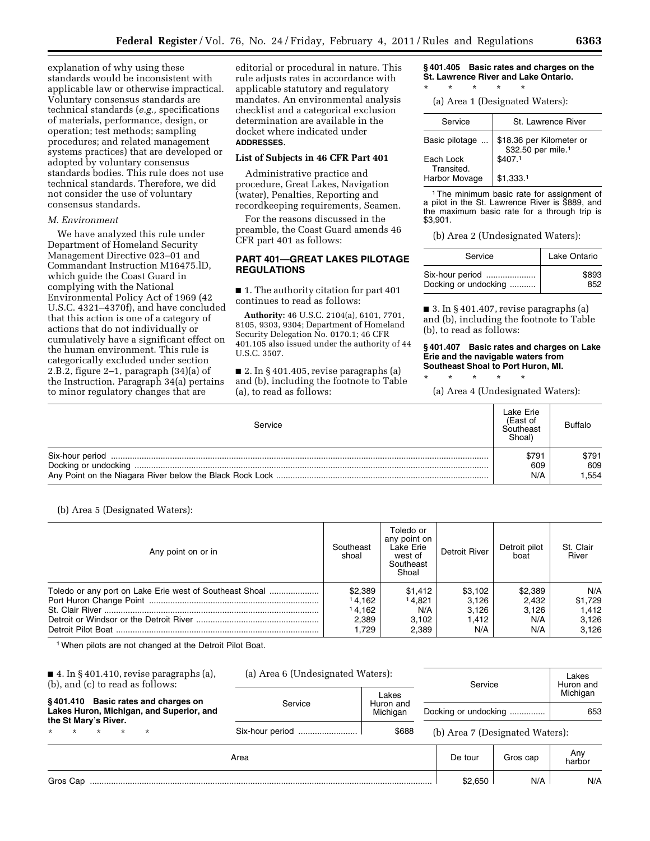explanation of why using these standards would be inconsistent with applicable law or otherwise impractical. Voluntary consensus standards are technical standards (*e.g.,* specifications of materials, performance, design, or operation; test methods; sampling procedures; and related management systems practices) that are developed or adopted by voluntary consensus standards bodies. This rule does not use technical standards. Therefore, we did not consider the use of voluntary consensus standards.

### *M. Environment*

We have analyzed this rule under Department of Homeland Security Management Directive 023–01 and Commandant Instruction M16475.lD, which guide the Coast Guard in complying with the National Environmental Policy Act of 1969 (42 U.S.C. 4321–4370f), and have concluded that this action is one of a category of actions that do not individually or cumulatively have a significant effect on the human environment. This rule is categorically excluded under section 2.B.2, figure 2–1, paragraph (34)(a) of the Instruction. Paragraph 34(a) pertains to minor regulatory changes that are

editorial or procedural in nature. This rule adjusts rates in accordance with applicable statutory and regulatory mandates. An environmental analysis checklist and a categorical exclusion determination are available in the docket where indicated under **ADDRESSES**.

## **List of Subjects in 46 CFR Part 401**

Administrative practice and procedure, Great Lakes, Navigation (water), Penalties, Reporting and recordkeeping requirements, Seamen.

For the reasons discussed in the preamble, the Coast Guard amends 46 CFR part 401 as follows:

## **PART 401—GREAT LAKES PILOTAGE REGULATIONS**

■ 1. The authority citation for part 401 continues to read as follows:

**Authority:** 46 U.S.C. 2104(a), 6101, 7701, 8105, 9303, 9304; Department of Homeland Security Delegation No. 0170.1; 46 CFR 401.105 also issued under the authority of 44 U.S.C. 3507.

■ 2. In § 401.405, revise paragraphs (a) and (b), including the footnote to Table (a), to read as follows:

**§ 401.405 Basic rates and charges on the St. Lawrence River and Lake Ontario.**  \* \* \* \* \*

(a) Area 1 (Designated Waters):

| Service                 | St. Lawrence River                                         |
|-------------------------|------------------------------------------------------------|
| Basic pilotage          | \$18.36 per Kilometer or<br>\$32.50 per mile. <sup>1</sup> |
| Each Lock<br>Transited. | \$407.1                                                    |
| Harbor Movage           | \$1.333.1                                                  |

1The minimum basic rate for assignment of a pilot in the St. Lawrence River is \$889, and the maximum basic rate for a through trip is \$3,901.

(b) Area 2 (Undesignated Waters):

| Service              | Lake Ontario |
|----------------------|--------------|
| Six-hour period      | \$893        |
| Docking or undocking | 852          |

■ 3. In § 401.407, revise paragraphs (a) and (b), including the footnote to Table (b), to read as follows:

#### **§ 401.407 Basic rates and charges on Lake Erie and the navigable waters from Southeast Shoal to Port Huron, MI.**

(a) Area 4 (Undesignated Waters):

\* \* \* \* \*

| Service | Lake Erie<br>(East of<br>Southeast<br>Shoal <sup>®</sup> | <b>Buffalo</b> |
|---------|----------------------------------------------------------|----------------|
|         | \$791<br>609                                             | \$791<br>609   |
|         | N/A                                                      | .554           |

## (b) Area 5 (Designated Waters):

| Any point on or in                                      | Southeast<br>shoal | Toledo or<br>any point on<br>Lake Erie<br>west of<br>Southeast<br>Shoal | Detroit River | Detroit pilot<br>boat | St. Clair<br>River |
|---------------------------------------------------------|--------------------|-------------------------------------------------------------------------|---------------|-----------------------|--------------------|
| Toledo or any port on Lake Erie west of Southeast Shoal | \$2,389            | \$1.412                                                                 | \$3,102       | \$2,389               | N/A                |
|                                                         | 14.162             | 14.821                                                                  | 3,126         | 2.432                 | \$1,729            |
|                                                         | 14.162             | N/A                                                                     | 3.126         | 3.126                 | 1.412              |
|                                                         | 2.389              | 3.102                                                                   | 1.412         | N/A                   | 3,126              |
|                                                         | .729               | 2.389                                                                   | N/A           | N/A                   | 3,126              |

1When pilots are not changed at the Detroit Pilot Boat.

| $\blacksquare$ 4. In § 401.410, revise paragraphs (a),<br>$(b)$ , and $(c)$ to read as follows:         |         | (a) Area 6 (Undesignated Waters):<br>Service |                                 | Lakes<br>Huron and |                 |
|---------------------------------------------------------------------------------------------------------|---------|----------------------------------------------|---------------------------------|--------------------|-----------------|
| §401.410 Basic rates and charges on<br>Lakes Huron, Michigan, and Superior, and<br>the St Mary's River. | Service | Lakes<br>Huron and<br>Michigan               | Docking or undocking            |                    | Michigan<br>653 |
| $\star$<br>$\star$<br>$\star$<br>$\star$<br>$\star$                                                     |         | \$688                                        | (b) Area 7 (Designated Waters): |                    |                 |
|                                                                                                         | Area    |                                              | De tour                         | Gros cap           | Any<br>harbor   |
| Gros Cap                                                                                                |         |                                              | \$2.650                         | N/A                | N/A             |